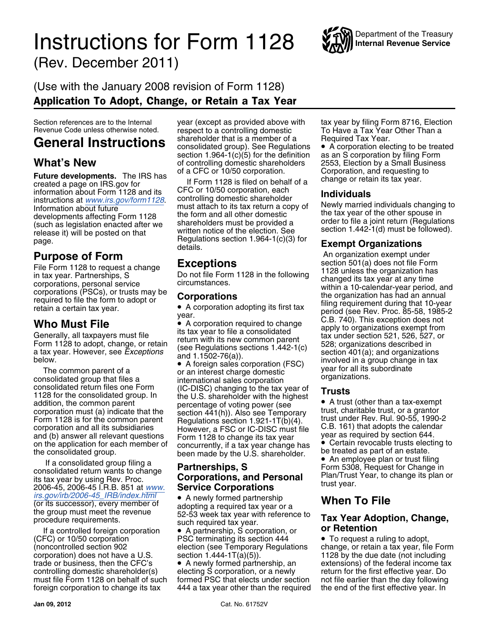## **Instructions for Form 1128** WAY Internal Revenue Service (Rev. December 2011)

### (Use with the January 2008 revision of Form 1128) Application To Adopt, Change, or Retain a Tax Year

**Future developments.** The IRS has of a CFC or 10/50 corporation. Corporation, and requesting to created a page on IRS.gov for **If Form 1128** is filed on behalf of a change or retain its tax year. information about Form 11

Form 1128 is for the common parent Regulations section 1.921-1 $T(b)(4)$ . It ust under Rev. Rul. 90-55, 1990-2 corporation and all its subsidiaries However, a FSC or IC-DISC must file C.B. 161) that adopts the calendar and (

If a consolidated group filing a<br>
consolidated return wants to change<br>
its tax year by using Rev. Proc.<br>
2006-45, 2006-45 I.R.B. 851 at [www.](http://www.irs.gov/irb/2006-45_IRB/index.html)<br>
Irs.gov/irb/2006-45\_IRB/index.html<br>
Irs.gov/irb/2006-45\_IRB/index.html<br> **Service** 

procedure requirements.<br>If a controlled foreign corporation • A partnership, S corporation, or **or Retention**<br>If a controlled foreign corporation • PSC terminating its section 444 • To request a ruling to adopt, corporation) does not have a U.S. section 1.444-1T(a)(5)). 1128 by the due date (not including<br>trade or business, then the CFC's  $\qquad \bullet$  A newly formed partnership, an extensions) of the federal income ta foreign corporation to change its tax 444 a tax year other than the required the end of the first effective year. In

Section references are to the Internal year (except as provided above with tax year by filing Form 8716, Election<br>Revenue Code unless otherwise noted. respect to a controlling domestic To Have a Tax Year Other Than a General Instructions shareholder that is a member of a Required Tax Year.<br>**General Instructions** consolidated group). See Regulations • A corporation electing to be treated section 1.964-1(c)(5) for the definition as an S corporation by filing Form **What's New** of controlling domestic shareholders 2553, Election by a Small Business

information about Form 1128 and its<br>
instructions at <u>[www.irs.gov/form1128](http://www.irs.gov/form1128)</u><br>
Instructions at <u>www.irs.gov/form1128</u><br>
Information about future<br>
Information about future<br>
Information about future<br>
Information about future<br>
I developments affecting Form 1128 the form and all other domestic the tax year of the other spouse in<br>(such as legislation enacted after we shareholders must be provided a order to file a joint return (Regulations<br>release i release it) will be posted on that written notice of the election. See<br>Page.<br>details.<br>details.<br>details.

The common parent of a<br>
or an interest charge domestic<br>
consolidated group that files a<br>
consolidated return files one Form<br>
1128 for the consolidated group. In<br>
addition, the common parent<br>
corporation must (a) indicate t

Ins.gov/IfD/2006-45\_Inb/IfIdex.film<br>(or its successor), every member of adopting a required tax year or a<br>the group must meet the revenue 52-53 week tax year with reference to **Tax Year Adoption, Change**,<br>procedure require

FSC terminating its section 444

trade or business, then the CFC's  $\bullet$  A newly formed partnership, an extensions) of the federal income tax controlling domestic shareholder(s) electing S corporation, or a newly return for the first effective year. Do controlling domestic shareholder(s) electing S corporation, or a newly return for the first effective year. Do<br>must file Form 1128 on behalf of such formed PSC that elects under section not file earlier than the day follow formed PSC that elects under section

To Have a Tax Year Other Than a

**Purpose of Form Exceptions**<br> **Exceptions**<br> **Exceptions**<br> **Exceptions**<br> **An organization exempt under the Form** File Form 1128 to require a change<br>
File Form 1128 to request a change<br>
in tax year. Partnerships, S<br>
corporations, personal service<br>
corporations (FSCs), or trusts may be<br>
corporations (FSCs), or trusts may be<br>
corporatio

and (b) answer all relevant questions Form 1128 to change its tax year<br>on the application for each member of concurrently, if a tax year change has<br>the consolidated group.<br>If a consolidated group filing a<br>lacked as part of

(noncontrolled section 902 election (see Temporary Regulations change, or retain a tax year, file Form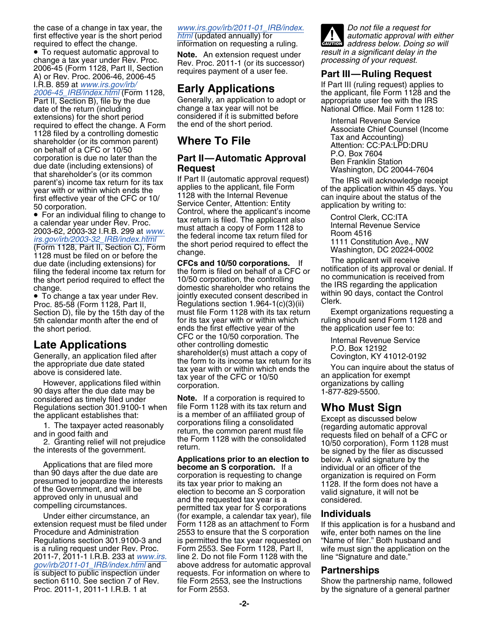• To request automatic approval to To request automatic approval to **Note.** An extension request under *result in a significant delay in the* change a tax year under Rev. Proc. 2011-1 (or its successor) *processing of your request.*<br>2006-45 (Form 1128, Part 2006-45 (Form 1128, Part II, Section A) or Rev. Proc. 2006-46, 2006-45 requires payment of a user fee. **Part III—Ruling Request** I.R.B. 859 at *[www.irs.gov/irb/](http://www.irs.gov/irb/2006-45_IRB/index.html)*<br>
2006-45\_IRB/index.html (Form 1128, **Early Applications** the applicant, file Form 1128 and th *[2006-45\\_IRB/index.html](http://www.irs.gov/irb/2006-45_IRB/index.html)* (Form 1128, **Early Applications** the applicant, file Form 1128 and the Part II, Section B), file by the due Generally, an application to adopt or date of the return (including change a tax year will not be extensions) for the short period<br>
required to effect the change. A Form the end of the short period.<br>
1128 filed by a controlling domestic<br>
shareholder (or its common parent)<br>
on behalf of a CFC or 10/50<br>
corporation is du that shareholder's (or its common<br>
parent's) income tax return for its tax If Part II (automatic approval request) The IRS will acknowledge receipt<br>
year with or within which ends the application is to the application with

• For an individual filing to change to<br>
a calendar year under Rev. Proc.<br>
2003-62, 2003-32 I.R.B. 299 at [www.](http://www.irs.gov/irb/2003-32_IRB/index.html)<br>  $\frac{r}{s}$  must attach a copy of Form 1128 to<br>  $\frac{r}{s}$  must attach a copy of Form 1128 to<br>  $\frac{r}{s}$  must a 1128 must be filed on or before the<br>due date (including extensions) for<br>filing the federal income tax return for<br>the short period required to effect the<br>10/50 corporation, the controlling<br>the short period required to effec

 $\bullet$  To change a tax year under Rev.

considered as timely filed under **Note.** If a corporation is required to Regulations section 301.9100-1 when file Form 1128 with its tax return and

2011-7, 2011-1 I.R.B. 233 at *[www.irs.](http://www.irs.gov/irb/2011-01_IRB/index.html)* line 2. Do not file Form 1128 with the *gov/irb/2011-01\_IRB/index.html* and above address for automatic approval *[gov/irb/2011-01\\_IRB/index.html](http://www.irs.gov/irb/2011-01_IRB/index.html)* and

the case of a change in tax year, the *[www.irs.gov/irb/2011-01\\_IRB/index.](http://www.irs.gov/irb/2011-01_IRB/index.html) Do not file a request for*

information on requesting a ruling.

change a tax year will not be **National Office. Mail Form 1128 to:**<br>considered if it is submitted before

applies to the applicant, file Form of the application within 45 days. You<br>1128 with the Internal Revenue can inquire about the status of the first effective year of the CFC or 10/ 1128 with the Internal Revenue can inquire about the status of the CFC or 10/ Service Center, Attention: Entity application by writing to: **Formation.** Service Centrol, where the applicant's income **• Control** Centrol, where the applicant's income • Control Clerk, CC:ITA

the short period required to effect the 10/50 corporation, the controlling no communication is received from change. the IRS regarding the application<br>■ To change a tax year under Rev. iointly executed consent described in within 90 days, contact the Control •<br>Pequiptions soction 1.064.1(o)(3)(ii) Clerk. Proc. 85-58 (Form 1128, Part II, Regulations section 1.964-1(c)(3)(ii) Clerk.<br>Section D), file by the 15th day of the must file Form 1128 with its tax return Exempt organizations requesting a Section D), file by the 15th day of the must file Form 1128 with its tax return Exempt organizations requesting<br>5th calendar month after the end of for its tax year with or within which ruling should send Form 1128 and 5th calendar month after the end of for its tax year with or within which for tuling should send Form 11<br>the short period. ends the first effective year of the the application user fee to: the short period. ends the first effective year of the the short period. The application user feeds to: CFC or the 10/50 corporation. The **Late Applications**<br>
Generally, an application filed after<br>
the appropriate due date stated<br>
above is considered late.<br>
However, applications filed within<br>
90 days after the due date may be<br>
above the appropriate due date

Regulations section 301.9100-1 when file Form 1128 with its tax return and<br>the applicant establishes that:<br>1. The taxpayer acted reasonably<br>and in good faith and<br>2. Granting relief will not prejudice<br>the Form 1128 with the

Applications that are filed more<br>than 90 days after the due date are<br>presumed to jeopardize the interests<br>of the Government, and will be<br>approved only in unusual and<br>compelling circumstances.<br>The same of the requested tax Under either circumstance, an (for example, a calendar tax year), file **Individuals** extension request must be filed under Form 1128 as an attachment to Form If this application is for a husband and Procedure and Administration 2553 to ensure that the S corporation wife, enter both names on the line Regulations section 301.9100-3 and is permitted the tax year requested on "Name of filer." Both husband and is a ruling request under Rev. Proc. Form 2553. See Form 1128, Part II, wife must sign the application on the<br>2011-7, 2011-1 I.R.B. 233 at www.irs. line 2. Do not file Form 1128 with the line "Signature and date." is subject to public inspection under requests. For information on where to **Partnerships** file Form 2553, see the Instructions Show the partnership name, followed<br>for Form 2553. See the Instructions by the signature of a general partner section 6110. See section 7 of Rev. file Form 2553, see the Instructions Show the partnership name, followed<br>Proc. 2011-1, 2011-1 I.R.B. 1 at for Form 2553. by the signature of a general partner

first effective year is the short period *[html](http://www.irs.gov/irb/2011-01_IRB/index.html)* (updated annually) for *automatic approval with either* required to effect the change.<br> **Automatic and annually** for *automatic approval with either* required to effect t **CAUTION** *automatic approval with either*<br> *address below. Doing so will*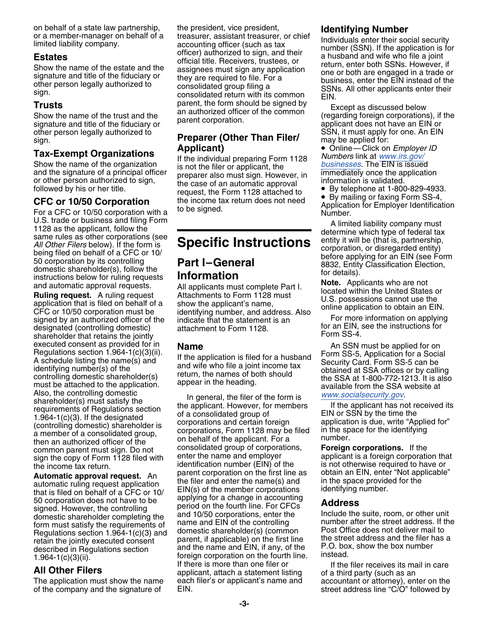other person legally authorized to **Preparer (Other Than Filer/** SSN, it must apply for one. An EIN sign.

U.S. trade or business and filing Form<br>
1128 as the applicant, follow the<br>
same rules as other corporations (see<br>
All Other Filers below). If the form is<br>
being filed on behalf of a CFC or 10/<br>
50 corporation by its contro

designated (controlling domestic) attachment to Form 1128. The form an EIN, see the instructions for an EIN, s<br>Shareholder that retains the iointly shareholder that retains the jointly executed consent as provided for in<br>
Regulations section 1.964-1(c)(3)(ii).<br>
A schedule listing the name(s) and<br>
identifying number(s) of the application is filed for a husband<br>
identifying number(s) of the and wife who fi Also, the controlling domestic<br>
shareholder(s) must satisfy the<br>
requirements of Regulations section<br>
1.964-1(c)(3). If the designated<br>
(controlling domestic) shareholder is<br>
a member of a consolidated group,<br>
a member of

of the company and the signature of EIN. street address line "C/O" followed by

or a member-manager on behalf of a<br>
inited liability company.<br>
Interestigate the president, vice president, vice president,<br>
inted liability company.<br>
Individuals enter their social security<br>
inted liability company.<br>
Indi

# sign. **Preparer (Other Than Filer/** may be applied for:<br> **Preparer (Other Than Filer/** may be applied for:<br> **Preparer (Other Than Filer/** e Online—Click on *Employer ID*

Tax-Exempt Organizations<br>
Show the name of the organization<br>
and the signature of a principal officer<br>
or other person authorized to sign,<br>
followed by his or her title.<br>
the case of an automatic approval<br>
the case of an a

and automatic approval requests. All applicants must complete Part I.<br> **Ruling request.** A ruling request Attachments to Form 1128 must<br>
application that is filed on behalf of a show the applicant's name,<br>
CFC or 10/50 cor CFC or 10/50 corporation must be identifying number, and address. Also<br>signed by an authorized officer of the indicate that the statement is an For more information on applying<br>designated (controlling domestic) attachment

then an authorized officer of the component of the common parent must sign. Do not consolidated group of corporations, **Foreign corporations.** If the common parent must sign. Do not consolidated group of corporations, **For** sign the copy of Form 1128 filed with enter the name and employer applicant is a foreign corporation that<br>the income tax return identification number (EIN) of the is not otherwise required to have or the income tax return.<br> **Cultimatic approval request** Ap parent corporation on the first line as obtain an EIN, enter "Not applicable" **Automatic approval request.** An parent corporation on the first line as obtain an EIN, enter "Not applicable"<br>automatic ruling request application the filer and enter the name(s) and in the space provided for the<br>that is 1.964-1(c)(3)(ii).<br>**All Other Filers All Other Filers** applicant, attach a statement listing of a third party (such as an an angle and party (such as an an angle and party (such as an an angle and party (such as an an an The application must show the name each filer's or applicant's name and accountant or attorney), enter on the

parent, the form should be signed by<br>Show the name of the trust and the an authorized officer of the common (regarding foreign corporations), if the<br>signature and title of the fiduciary or parent corporation. applicant doe

Form 1128 attached to<br> **CFC or 10/50 Corporation** the income tax return does not need<br>
For a CFC or 10/50 corporation with a to be signed.<br>
For a CFC or 10/50 corporation with a to be signed.<br>
Number.

controlling domestic shareholder(s) return, the names of both should<br>must be attached to the application. appear in the heading. The SSA at 1-800-772-1213. It is also<br>available from the SSA website at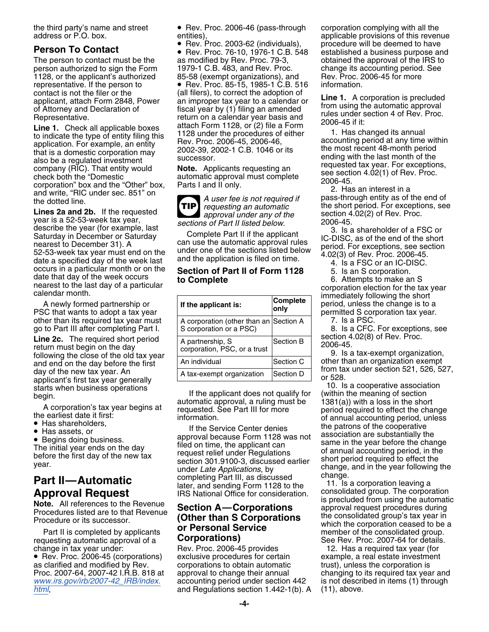Exercise the type of entity filing this that is a domestic corporation. For example, an entity and the procedures of either accounting period at any time within application. For example, an entity that is a domestic corpor

Lines za and zp. If the requested<br>year is a 52-53-week tax year, *sections of Part II listed below.* 2006-45. describe the year (for example, last 3. Is a shareholder of a FSC or<br>Saturday in December or Saturday Complete Part II if the applicant IC-DISC, as of the end of the short Saturday in December or Saturday Complete Part II if the applicant<br>nearest to December 31). A can use the automatic approval rules<br>52-53-week tax year must end on the under one of the sections listed below period. For exce

Line 2c. The required short period<br>
fellowing the close of the old tax year<br>
day of the close of the old tax year<br>
day of the rew tax year generally<br>
day of the new tax year generally<br>
day of the new tax year generally<br>
d

- 
- 
- 

Part II is completed by applicants<br>requesting automatic approval of a **Corporations**<br>change in tax year under: Rev. Proc. 2006-45 provides 12. Has a required tax year (for

the third party's name and street • Rev. Proc. 2006-46 (pass-through corporation complying with all the address or P.O. box. entities).

• Rev. Proc. 76-10, 1976-1 C.B. 548 established a business purpose and The person to contact must be the as modified by Rev. Proc. 79-3, obtained the approval of the IRS to person authorized to sign the Form 1979-1 C.B. 483, and Rev. Proc. change its accounting period. See 1128, or the applicant's authorized a 85-58 (exempt organizations), and Rev. Proc. 2006-45 for more<br>
Rev. Proc. 85-15, 1985-1 C.B. 516 information. representative. If the person to  $\bullet$  Rev. Proc. 85-15, 1985-1 C.B. 516 contact is not the filer or the (all filers), to correct the adoption of<br>applicant, attach Form 2848, Power an improper tax year to a calendar or<br>of Attorney and Declaration of fiscal year by (1) filing an amended<br>Represen

**TIP**

| <u>ualthual IIIUIIIII.</u>                                                                                           |                                                                   |                         | immediately following the short                                               |
|----------------------------------------------------------------------------------------------------------------------|-------------------------------------------------------------------|-------------------------|-------------------------------------------------------------------------------|
| A newly formed partnership or<br>PSC that wants to adopt a tax year                                                  | If the applicant is:                                              | <b>Complete</b><br>only | period, unless the change is to a<br>permitted S corporation tax year.        |
| other than its required tax year must<br>go to Part III after completing Part I.                                     | A corporation (other than an Section A<br>S corporation or a PSC) |                         | 7. Is a PSC.<br>8. Is a CFC. For exceptions, see                              |
| <b>Line 2c.</b> The required short period<br>return must begin on the day<br>following the close of the old tax year | A partnership, S<br>corporation, PSC, or a trust                  | <b>Section B</b>        | section 4.02(8) of Rev. Proc.<br>2006-45.<br>9. Is a tax-exempt organization, |
| and end on the day before the first                                                                                  | An individual                                                     | <b>Section C</b>        | other than an organization exempt                                             |
| day of the new tax year. An<br>annlicant's first tax year generally                                                  | A tax-exempt organization                                         | Section D               | from tax under section 521, 526, 52.<br>or 528.                               |

Has assets, or assets, or approval because Form 1128 was not association are substantially the approval because Form 1128 was not • same in the year before the change • Begins doing business.<br>
The initial year ends on the day<br>
tiled on time, the applicant can<br>
before the first day of the new tax<br>
tequest relief under Regulations<br>
year.<br> **Part II—Automatic**<br> **Part II—Automatic**<br> **Part II** 

change in tax year under: Rev. Proc. 2006-45 provides 12. Has a required tax year (for<br>• Rev. Proc. 2006-45 (corporations) exclusive procedures for certain example, a real estate investment ● Rev. Proc. 2006-45 (corporations) exclusive procedures for certain example, a real estate investment as clarified and modified by Rev. corporations to obtain automatic trust), unless the corporation is Proc. 2007-64, 2007-42 I.R.B. 818 at approval to change their annual changing to its required tax year and www.irs.gov/irb/2007-42\_IRB/index. accounting period under section 442 is not described in items (1) through accounting period under section 442 is not described in items (1) through *[html](http://www.irs.gov/irb/2007-42_IRB/index.html)*, **and Regulations section 1.442-1(b).** A (11), above.

entities),<br>• Rev. Proc. 2003-62 (individuals), applicable provisions of this revenue<br>• Rev. Proc. 2003-62 (individuals), procedure will be deemed to have • Rev. Proc. 2003-62 (individuals), procedure will be deemed to have **Person To Contact** •

occurs in a particular month or on the **Section of Part II of Form 1128** 5. Is an S corporation.<br>
date that day of the week occurs to **Complete**<br>
rearest to the last day of a particular calendar month.<br>
A newly formed part

The earliest date it first:<br>
• Has shareholders, the patrons of the cooperative if the Service Center denies by the patrons of the cooperative<br>
• Has assets, or approval because Form 1128 was not association are substantia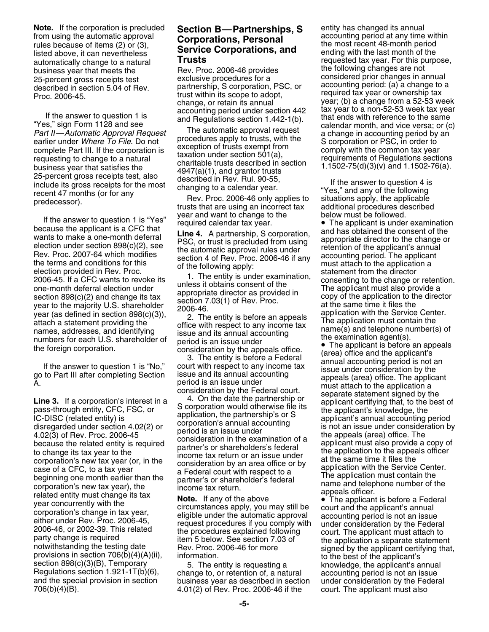**Note.** If the corporation is precluded **Section B—Partnerships, S** entity has changed its annual from using the automatic approval **Corporations Personal** accounting period at any time within from using the automatic approval **Corporations, Personal** accounting period at any time with rules because of items (2) or (3),<br>
rules because of items (2) or (3), **Service Corporations, and** the most recent 48-month peri Fines because of hemis ( $2$ ) of ( $3$ ), **Service Corporations, and** listed above, it can nevertheless **Service Corporations, and** business year that meets the **the contract that meets the following changes** are not business year that meets the<br>25-netcent gross receints test **the section of the exclusive procedures** for a considered prior changes in a exclusive procedures for a considered prior changes in annual 25-percent gross receipts test partnership, S corporation, PSC, or accounting period: (a) a change to a described in section 5.04 of Rev. essensed in sesion sign is required tax year or ownership tax Proc. 2006-45.

Part II—Automatic Approval Request<br>earlier under the proval Request<br>earlier under Where To File. Do not<br>exception of trusts with the<br>exception of trusts exempt from<br>exception of trusts exempt from<br>exception of trusts exemp complete Part III. If the corporation is<br>requesting to change to a natural<br>business year that satisfies the<br>25-percent gross receipts test, also described in Rev. Rul. 90-55,<br>include its gross receipts test, also described

If the answer to question 1 is "Yes"<br>
because the applicant is a CFC that<br>
time 4. A partnership, S corporation, and has obtained the consent of the<br>
wends to make a one-month deferral<br>
election under section 896(c)(2), s

the foreign corporation.<br>
The answer to question 1 is "No," could be the film and accounting period is a material of the answer to question 1 is "No," could then they is before a Federal (area) of the answer to question 1 706(b)(4)(B). 4.01(2) of Rev. Proc. 2006-46 if the court. The applicant must also

automatically change to a natural **Trusts Trube 1.1 Trusts** requested tax year. For this purpose,<br>business year that meets the **Rev. Proc. 2006-46 provides** the following changes are not change, or retain its annual year; (b) a change from a 52-53 week accounting period under section 442 tax year to a non-52-53 week tax year<br>If the answer to question 1 is and Regulations section 1.442-1(b). that ends with reference to the same<br>The submatic engangle same calendar month, a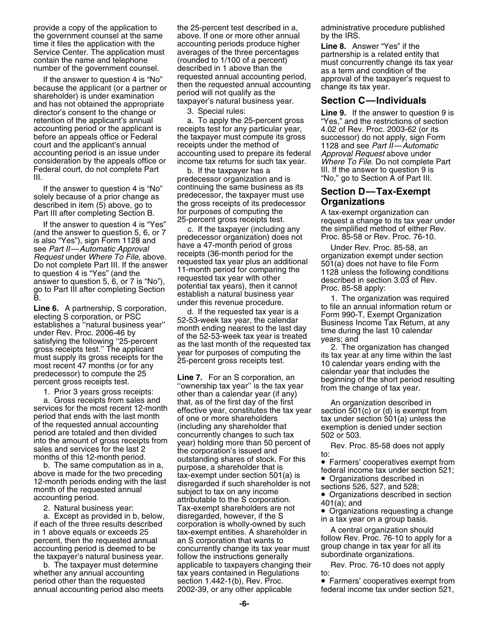because the applicant (or a partner or<br>shareholder) is under examination period will not qualify as the<br>and has not obtained the appropriate taxpayer's natural business year. **Section C—Individuals** and has not obtained the appropriate and any axplayer stratural business year.<br>
director's consent to the change or 3. Special rules:<br>
To apply the 25-percent gross "Yes," and the restrictions of section<br>
accounting period consideration by the appeals office or. Federal court, do not complete Part b. If the taxpayer has a III. If the answer to question 9 is

described in item (5) above, go to the gross receipts of its predecessor **Organizations**<br>Part III after completing Section B. The purposes of computing the the above A tax-exempt organization can

is also "Yes"), sign Form 1128 and<br>see *Part II—Automatic Approval* have a 47-month period of gross Under Rev. Proc. 85-58, an<br>Request under Where To File, above. The receipts (36-month period for the organization exempt u *Request* under *Where To File*, above. receipts (36-month period for the corganization exempt under section<br>Do not complete Part III, If the answer requested tax year plus an additional 501(a) does not have to file Form Do not complete Part III. If the answer requested tax year plus an additional 501(a) does not have to file Form<br>to question 4 is "Yes" (and the state of the form of the mooth period for comparing the state following condit to question 4 is "Yes" (and the 11-month period for comparing the 1128 unless the 1128 uncless the formulation  $\frac{1}{2}$  is "No") requested tax year with other answer to question 5,  $\hat{b}$ , or 7 is "No"), requested tax year with other described in section 3.03 of Rev.<br>no to Part III after completing Section potential tax years), then it cannot Proc. 85-58 apply:

and the Section of the Section of the Section of the Section of the Section of the Section of the Section of the Section of the Section of the Section of PSC and the equested tax year is a electing S corporation, or PSC an most recent 47 months (or for any<br>predecessor) to compute the 25 calendar year that includes the<br>necessor) to compute the 25 calendar year that includes the<br>necessor) to compute the 25 calendar year that includes the

provide a copy of the application to the 25-percent test described in a, administrative procedure published the government counsel at the same above. If one or more other annual by the IRS. time it files the application with the accounting periods produce higher **Line 8.** Answer "Yes" if the Service Center. The application must averages of the three percentages produce higher **Line 8.** Answer "Yes" if the Ser If the answer to question 4 is "No" requested annual accounting period, as a term and condition of the taxpayer's request to request to approval of the taxpayer's request to request to cause the applicant (or a partner or

accounting period or the applicant is receipts test for any particular year, 4.02 of Rev. Proc. 2003-62 (or its<br>before an appeals office or Federal the taxpayer must compute its gross successor) do not apply, sign Form<br>cou accounting period is an issue under accounting used to prepare its federal *Approval Request* above under<br>consideration by the appeals office or income tax returns for such tax year. Where To File. Do not complete Part

predecessor organization and is "No," go to Section A of Part III. If the answer to question 4 is "No" continuing the same business as its<br>solely because of a prior change as predecessor, the taxpayer must use<br>described in item (5) above, go to the gross receipts of its predecessor **Organ** 

percent gross receipts test.<br>
The *I*. For an S corporation, an beginning of the short period resulting<br>
1. Prior 3 years gross receipts:<br>
a. Gross receipts from sales and that as of the first day of the first<br>
that as of a. Gross receipts from sales and<br>services for the most recent 12-month<br>period that ends with the last month<br>of the requested annual accounting<br>of the requested annual accounting<br>of the requested annual accounting<br>(includin above is made for the two preceding<br>
12-month periods ending with the last disregarded if such shareholder is not<br>
month of the requested annual subject to tax on any income<br>
accounting period.<br>
accounting period.<br>
account Organizations described in section and the S corporation. 401(a); and 2. Natural business year: Tax-exempt shareholders are not • Organizations requesting a change 2. Natural business year.<br>
a. Except as provided in b, below, disregarded, however, if the S<br>
in 1 above equals or exceeds 25<br>
in 1 above equals or exceeds 25<br>
percent, then the requested annual an S corporation that wants b. The taxpayer must determine applicable to taxpayers changing their Rev. Proc. 76-10 does not apply whether any annual accounting tax years contained in Regulations to: period other than the requested section 1.442-1(b), Rev. Proc. • Farmers' cooperatives exempt from annual accounting period also meets 2002-39, or any other applicable federal income tax under section 521,

Part III after completing Section B. for purposes of computing the A tax-exempt organization can<br>
If the answer to question 4 is "Yes" and the answer to question 5, 6, or 7 c. If the taxpayer (including any the simplified

- 
- 
-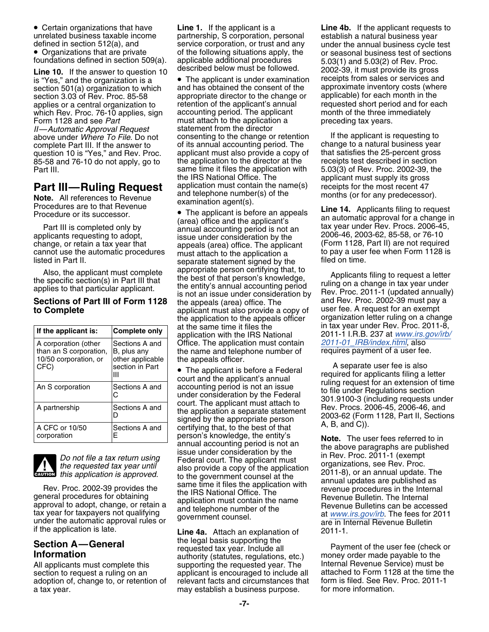• Certain organizations that have unrelated business taxable income partnership, S corporation, personal establish a natural business year defined in section 512(a), and service corporation, or trust and any under the annual business cycle test<br>• Organizations that are private of the following situations apply, the or seasonal business test of sections • Organizations that are private

section 3.03 of Rev. Proc. 85-58 appropriate director to the change or Form 1128 and see *Part* must attach to the application a proportion a proportion a proportion a proportion a preceding tax wears. question 10 is "Yes," and Rev. Proc.

| If the applicant is:                                                            | <b>Complete only</b>                                                 |  |
|---------------------------------------------------------------------------------|----------------------------------------------------------------------|--|
| A corporation (other<br>than an S corporation,<br>10/50 corporation, or<br>CFC) | Sections A and<br>B, plus any<br>other applicable<br>section in Part |  |
| An S corporation                                                                | Sections A and                                                       |  |
| A partnership                                                                   | Sections A and                                                       |  |
| A CFC or 10/50<br>corporation                                                   | Sections A and                                                       |  |



if the automatic approval rules or explormance of the application is late.<br>**Line 4a.** Attach an explanation of 2011-1.

section to request a ruling on an applicant is encouraged to include all attached to Form 1128 at the time the<br>Adoption of, change to, or retention of a relevant facts and circumstances that a form is filed. See Rev. Proc adoption of, change to, or retention of relevant facts and circumstances that form is filed. See Rev<br>a tax vear. Proc. Proc. Proc. Proc. 2011-11: Proc. 2011-12: 2011-12: 2011-12: 2011-12: 2011-12: 2011-12: 2011a tax year. may establish a business purpose.

**Line 1.** If the applicant is a **Line 4b.** If the applicant requests to foundations defined in section 509(a). applicable additional procedures 5.03(1) and 5.03(2) of Rev. Proc.<br>**1.ing 10** If the appurer to question 10 described below must be followed. 2002-39 it must provide its gross

is "Yes," and the organization is a **•** The applicant is under examination in receipts from sales or services and<br>section 501(a) organization to which and has obtained the consent of the approximate inventory costs (where section 501(a) organization to which and has obtained the consent of the approximate inventory costs (whe<br>section 3.03 of Rey, Proc, 85-58 appropriate director to the change or applicable) for each month in the applies or a central organization to retention of the applicant's annual requested short period and for each which Rev. Proc. 76-10 applies, sign accounting period. The applicant month of the three immediately which Rev. Proc. 76-10 applies, sign accounting period. The applicant month of the three in<br>Form 1128 and see Part must attach to the application a preceding tax years. *II—Automatic Approval Request* statement from the director<br>above under *Where To File*, Do not consenting to the change or retention above under *Where To File*. Do not consenting to the change or retention If the applicant is requesting to complete Part III. If the answer to of its annual accounting period. The change to a natural business year complete Part III. If the answer to of its annual accounting period. The change to a natural business year<br>question 10 is "Yes," and Rev. Proc. applicant must also provide a copy of that satisfies the 25-percent gross 85-58 and 76-10 do not apply, go to the application to the director at the receipts test described in section Part III. Same time it files the application with 5.03(3) of Rev. Proc. 2002-39, the IRS National Office. The applicant must supply its gross the IRS National Office. The applicant must supply its gross<br>application must contain the name(s) ereceipts for the most recent 47

change, or retain a tax year that appeals (area) office. The applicant (Form 1128, Part ii) are not required cannot use the automatic procedures must attach to the application a to pay a user fee when Form 1128 is listed i separate statement signed by the Also, the applicant must complete appropriate person certifying that, to<br>the specific section(s) in Part III that the best of that person's knowledge,<br>applies to that particular applicant. The entity's annual accounting pe **Sections of Part III of Form 1128** the appeals (area) office. The applicant must also provide a copy of and Rev. Proc. 2002-39 must pay a applicant must also provide a copy of user fee. A request for an exempt the applica the application to the appeals officer organization letter ruling on a change<br>at the same time it files the same in tax year under Rev. Proc. 2011-8, at the same time it files the in tax year under Rev. Proc. 2011-8, **If the applicant is: Complete only** application with the IRS National 2011-1 I.R.B. 237 at *[www.irs.gov/irb/](http://www.irs.gov/irb/2011-01_IRB/index.html)* Office. The application must contain *[2011-01\\_IRB/index.html](http://www.irs.gov/irb/2011-01_IRB/index.html)*, also the name and telephone number of requires payment of a user fee. the appeals officer.

Example to the applicant is before a Federal<br>
The applicant is before a Federal<br>
Count and the applicant's annual<br>
Count and the applicant's annual<br>
Count and the applicant's annual<br>
Count and the applicant is before a Fed corporation E person's knowledge, the entity's<br>annual accounting period is not an the above paragraphs are published<br>lissue under consideration by the<br>the requested tax year until also provide a copy of the application  $\frac$ *the requested tax year until* also provide a copy of the application original annual update. The this application is approved.<br>
to the government counsel at the annual updates are published as

the legal basis supporting the **Section A—General** Payment of the user fee (check or requested tax year. Include all **Information** authority (statutes, regulations, etc.) money order made payable to the

or seasonal business test of sections **Line 10.** described below must be followed. 2002-39, it must provide its gross If the answer to question 10

**Part III—Ruling Request**<br>
Note. All references to Revenue<br>
Procedures are to that Revenue<br>
Procedure or its successor.<br>
Procedure or its successor.<br>
Procedure or its successor.<br>
Procedure or its successor.<br>
The applicant

The applicant is before a Federal **A** separate user fee is also<br> **EXECUTE:** The applicant a section of the conditional of the conditional section of the conditional conditional conditional conditional conditional condition

Extract the same time it files the application with<br>
Rev. Proc. 2002-39 provides the<br>
general procedures for obtaining<br>
approval to adopt, change, or retain a<br>
dephone number of the<br>
lack year for taxpayers not qualifying<br>

All applicants must complete this example interpreting the requested year. The Internal Revenue Service) must be<br>All applicants must complete this express supporting the requested year. The Internal Revenue Service) must b